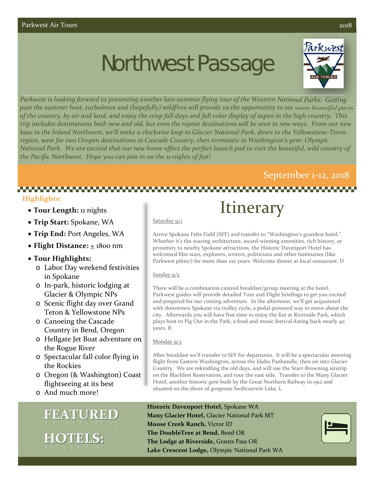# Northwest Passage



Parkwest is looking forward to presenting another late-summer flying tour of the Western National Parks. Getting past the summer heat, turbulence and (hopefully) wildfires will provide us the opportunity to see some beautiful parts of the country, by air and land, and enjoy the crisp fall days and fall color display of aspen in the high country. This trip includes destinations both new and old, but even the repeat destinations will be seen in new ways. From our new base in the Inland Northwest, we'll make a clockwise loop to Glacier National Park, down to the Yellowstone-Teton *region, west for two Oregon destinations in Cascade Country, then terminate in Washington's gem: Olympic* National Park. We are excited that our new home offers the perfect launch pad to visit the beautiful, wild country of *the Pacific Northwest. Hope you can join in on the 11‐nights of fun!*

## September 1‐12, 2018

### **Highlights:**

- **Tour Length:** 11 nights
- **Trip Start:** Spokane, WA
- **Trip End:** Port Angeles, WA
- Flight Distance:  $\pm$  1800 nm

### **Tour Highlights:**

- o Labor Day weekend festivities in Spokane
- o In‐park, historic lodging at Glacier & Olympic NPs
- o Scenic flight day over Grand Teton & Yellowstone NPs
- o Canoeing the Cascade Country in Bend, Oregon
- o Hellgate Jet Boat adventure on the Rogue River
- o Spectacular fall color flying in the Rockies
- o Oregon (& Washington) Coast flightseeing at its best
- o And much more!

## **FEATURED HOTELS:**

## **Itinerary**

#### Saturday 9/1

Arrive Spokane Felts Field (SFF) and transfer to "Washington's grandest hotel." Whether it's the soaring architecture, award-winning amenities, rich history, or proximity to nearby Spokane attractions, the Historic Davenport Hotel has welcomed film stars, explorers, writers, politicians and other luminaries (like Parkwest pilots!) for more than 100 years. Welcome dinner at local restaurant. D

#### Sunday 9/2

There will be a combination catered breakfast/group meeting at the hotel. Parkwest guides will provide detailed Tour and Flight briefings to get you excited and prepared for our coming adventure. In the afternoon, we'll get acquainted with downtown Spokane via trolley cycle, a pedal‐powered way to move about the city. Afterwards you will have free time to enjoy the fun at Riverside Park, which plays host to Pig Out in the Park, a food and music festival dating back nearly 40 years. B

#### Monday 9/3

After breakfast we'll transfer to SFF for departures. It will be a spectacular morning flight from Eastern Washington, across the Idaho Panhandle, then on into Glacier Country. We are rekindling the old days, and will use the Starr‐Browning airstrip on the Blackfeet Reservation, and tour the east side. Transfer to the Many Glacier Hotel, another historic gem built by the Great Northern Railway in 1912 and situated on the shore of gorgeous Swiftcurrent Lake. L

**Historic Davenport Hotel,** Spokane WA **Many Glacier Hotel,** Glacier National Park MT **Moose Creek Ranch,** Victor ID **The DoubleTree at Bend,** Bend OR **The Lodge at Riverside,** Grants Pass OR **Lake Crescent Lodge,** Olympic National Park WA

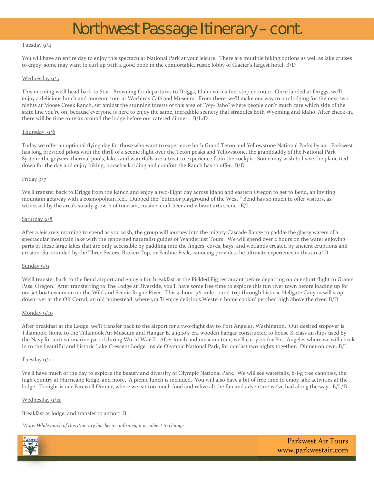## Northwest Passage Itinerary – cont.

#### Tuesday 9/4

You will have an entire day to enjoy this spectacular National Park at your leisure. There are multiple hiking options as well as lake cruises to enjoy; some may want to curl up with a good book in the comfortable, rustic lobby of Glacier's largest hotel. B/D

#### Wednesday 9/5

This morning we'll head back to Starr‐Browning for departures to Driggs, Idaho with a fuel stop en route. Once landed at Driggs, we'll enjoy a delicious lunch and museum tour at Warbirds Café and Museum. From there, we'll make our way to our lodging for the next two nights at Moose Creek Ranch, set amidst the stunning forests of this area of "Wy‐Daho" where people don't much care which side of the state line you're on, because everyone is here to enjoy the same, incredible scenery that straddles both Wyoming and Idaho. After check‐in, there will be time to relax around the lodge before our catered dinner. B/L/D

#### Thursday, 9/6

Today we offer an optional flying day for those who want to experience both Grand Teton and Yellowstone National Parks by air. Parkwest has long provided pilots with the thrill of a scenic flight over the Teton peaks and Yellowstone, the granddaddy of the National Park System; the geysers, thermal pools, lakes and waterfalls are a treat to experience from the cockpit. Some may wish to leave the plane tied down for the day and enjoy hiking, horseback riding and comfort the Ranch has to offer. B/D

#### Friday 9/7

We'll transfer back to Driggs from the Ranch and enjoy a two-flight day across Idaho and eastern Oregon to get to Bend, an inviting mountain getaway with a cosmopolitan feel. Dubbed the "outdoor playground of the West," Bend has so much to offer visitors, as witnessed by the area's steady growth of tourism, cuisine, craft beer and vibrant arts scene. B/L

#### Saturday 9/8

After a leisurely morning to spend as you wish, the group will journey into the mighty Cascade Range to paddle the glassy waters of a spectacular mountain lake with the renowned naturalist guides of Wanderlust Tours. We will spend over 2 hours on the water enjoying parts of these large lakes that are only accessible by paddling into the fingers, coves, bays, and wetlands created by ancient eruptions and erosion. Surrounded by the Three Sisters, Broken Top, or Paulina Peak, canoeing provides the ultimate experience in this area! D

#### Sunday 9/9

We'll transfer back to the Bend airport and enjoy a fun breakfast at the Pickled Pig restaurant before departing on our short flight to Grants Pass, Oregon. After transferring to The Lodge at Riverside, you'll have some free time to explore this fun river town before loading up for our jet boat excursion on the Wild and Scenic Rogue River. This 4‐hour, 36‐mile round‐trip through historic Hellgate Canyon will stop downriver at the OK Corral, an old homestead, where you'll enjoy delicious Western home cookin' perched high above the river. B/D

#### Monday 9/10

After breakfast at the Lodge, we'll transfer back to the airport for a two-flight day to Port Angeles, Washington. Our desired stopover is Tillamook, home to the Tillamook Air Museum and Hangar B, a 1940's‐era wooden hangar constructed to house K‐class airships used by the Navy for anti‐submarine patrol during World War II. After lunch and museum tour, we'll carry on for Port Angeles where we will check in to the beautiful and historic Lake Crescent Lodge, inside Olympic National Park, for our last two nights together. Dinner on own. B/L

#### Tuesday 9/11

We'll have much of the day to explore the beauty and diversity of Olympic National Park. We will see waterfalls, b-i-g tree canopies, the high country at Hurricane Ridge, and more. A picnic lunch is included. You will also have a bit of free time to enjoy lake activities at the lodge. Tonight is our Farewell Dinner, where we eat too much food and relive all the fun and adventure we've had along the way. B/L/D

#### Wednesday 9/12

Breakfast at lodge, and transfer to airport. B

*\*Note: While much of this itinerary has been confirmed, it is subject to change.*